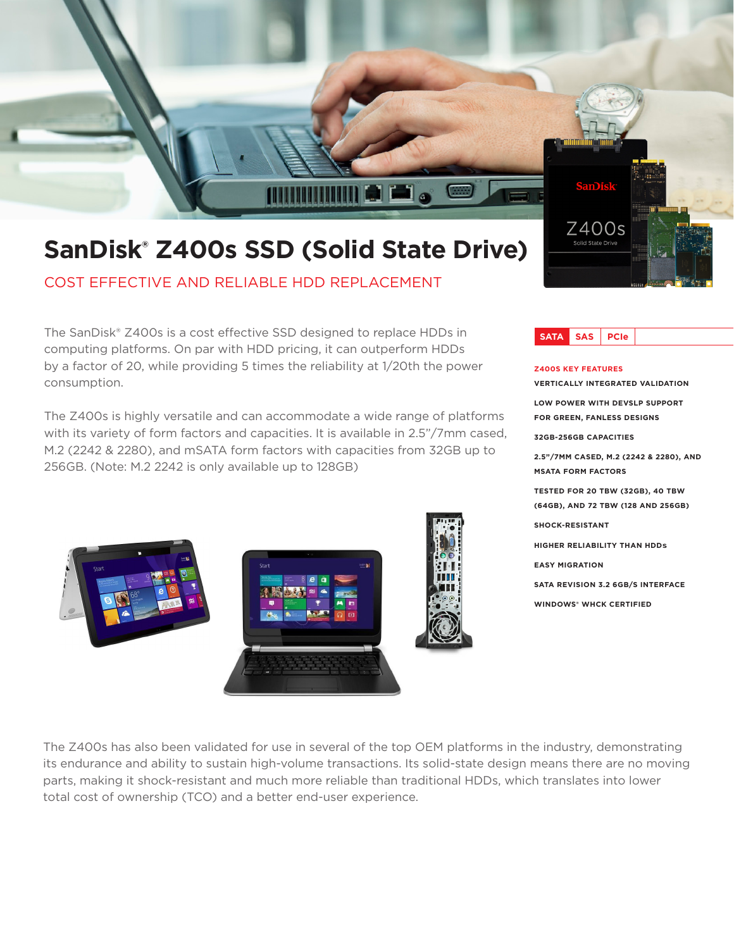

**Z400S KEY FEATURES**

Solid State Driv

**MSATA FORM FACTORS**

**SHOCK-RESISTANT**

**EASY MIGRATION**

**VERTICALLY INTEGRATED VALIDATION LOW POWER WITH DEVSLP SUPPORT FOR GREEN, FANLESS DESIGNS 32GB-256GB CAPACITIES**

**2.5"/7MM CASED, M.2 (2242 & 2280), AND** 

**TESTED FOR 20 TBW (32GB), 40 TBW (64GB), AND 72 TBW (128 AND 256GB)**

**HIGHER RELIABILITY THAN HDDS**

**WINDOWS® WHCK CERTIFIED**

**SATA REVISION 3.2 6GB/S INTERFACE**

# **SanDisk® Z400s SSD (Solid State Drive)**

COST EFFECTIVE AND RELIABLE HDD REPLACEMENT

The SanDisk<sup>®</sup> Z400s is a cost effective SSD designed to replace HDDs in **SATA** SAS PCIe computing platforms. On par with HDD pricing, it can outperform HDDs by a factor of 20, while providing 5 times the reliability at 1/20th the power consumption.

The Z400s is highly versatile and can accommodate a wide range of platforms with its variety of form factors and capacities. It is available in 2.5"/7mm cased, M.2 (2242 & 2280), and mSATA form factors with capacities from 32GB up to 256GB. (Note: M.2 2242 is only available up to 128GB)

The Z400s has also been validated for use in several of the top OEM platforms in the industry, demonstrating its endurance and ability to sustain high-volume transactions. Its solid-state design means there are no moving parts, making it shock-resistant and much more reliable than traditional HDDs, which translates into lower total cost of ownership (TCO) and a better end-user experience.